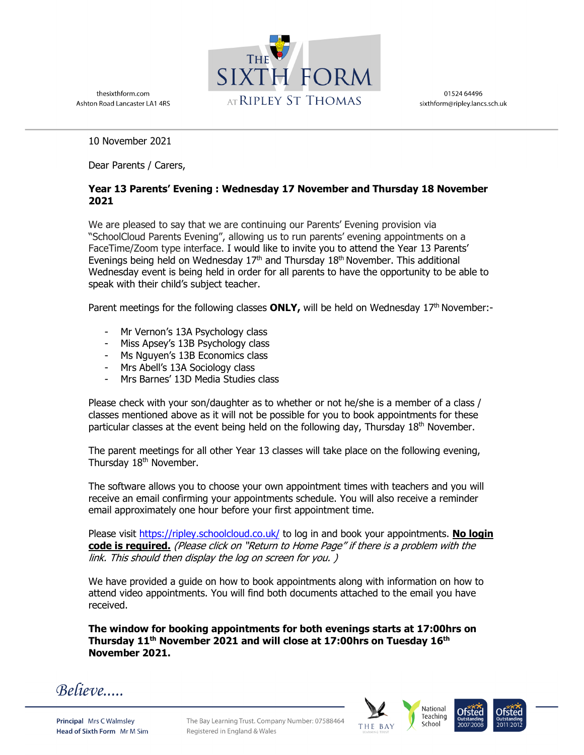

01524 64496 sixthform@ripley.lancs.sch.uk

Ashton Road Lancaster LA1 4RS

thesixthform.com

10 November 2021

Dear Parents / Carers,

## **Year 13 Parents' Evening : Wednesday 17 November and Thursday 18 November 2021**

We are pleased to say that we are continuing our Parents' Evening provision via "SchoolCloud Parents Evening", allowing us to run parents' evening appointments on a FaceTime/Zoom type interface. I would like to invite you to attend the Year 13 Parents' Evenings being held on Wednesday  $17<sup>th</sup>$  and Thursday  $18<sup>th</sup>$  November. This additional Wednesday event is being held in order for all parents to have the opportunity to be able to speak with their child's subject teacher.

Parent meetings for the following classes **ONLY,** will be held on Wednesday  $17<sup>th</sup>$  November:-

- Mr Vernon's 13A Psychology class
- Miss Apsey's 13B Psychology class
- Ms Nguyen's 13B Economics class
- Mrs Abell's 13A Sociology class
- Mrs Barnes' 13D Media Studies class

Please check with your son/daughter as to whether or not he/she is a member of a class / classes mentioned above as it will not be possible for you to book appointments for these particular classes at the event being held on the following day, Thursday 18<sup>th</sup> November.

The parent meetings for all other Year 13 classes will take place on the following evening, Thursday 18<sup>th</sup> November.

The software allows you to choose your own appointment times with teachers and you will receive an email confirming your appointments schedule. You will also receive a reminder email approximately one hour before your first appointment time.

Please visit https://ripley.schoolcloud.co.uk/ to log in and book your appointments. No login **code is required.** (Please click on "Return to Home Page" if there is a problem with the link. This should then display the log on screen for you. )

We have provided a guide on how to book appointments along with information on how to attend video appointments. You will find both documents attached to the email you have received.

**The window for booking appointments for both evenings starts at 17:00hrs on Thursday 11th November 2021 and will close at 17:00hrs on Tuesday 16th November 2021.** 

 $Believe$